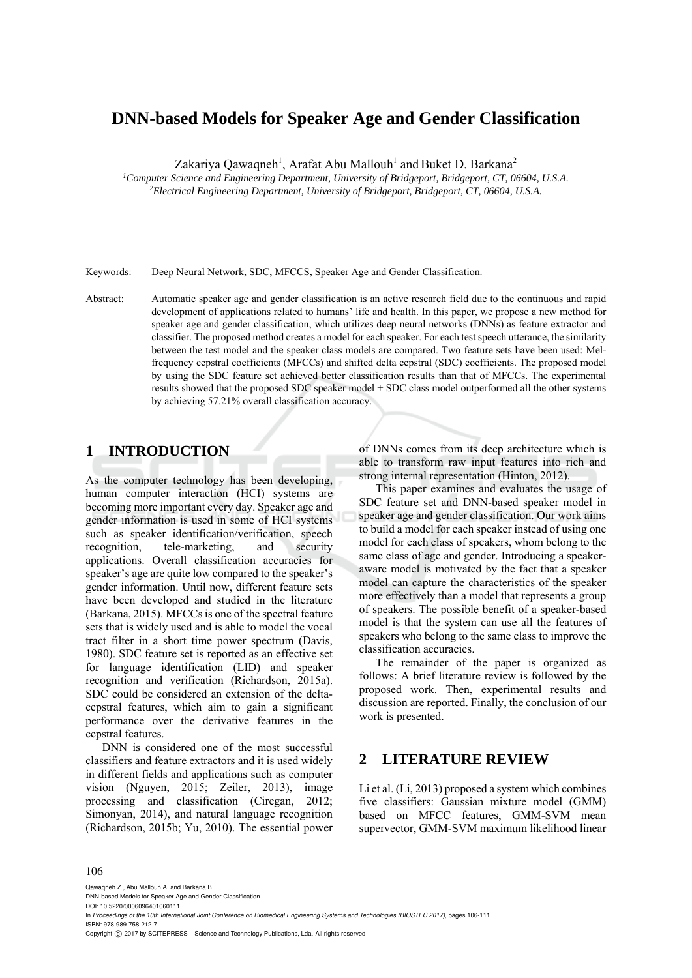# **DNN-based Models for Speaker Age and Gender Classification**

Zakariya Qawaqneh<sup>1</sup>, Arafat Abu Mallouh<sup>1</sup> and Buket D. Barkana<sup>2</sup>

*1 Computer Science and Engineering Department, University of Bridgeport, Bridgeport, CT, 06604, U.S.A. 2 Electrical Engineering Department, University of Bridgeport, Bridgeport, CT, 06604, U.S.A.* 

Keywords: Deep Neural Network, SDC, MFCCS, Speaker Age and Gender Classification.

Abstract: Automatic speaker age and gender classification is an active research field due to the continuous and rapid development of applications related to humans' life and health. In this paper, we propose a new method for speaker age and gender classification, which utilizes deep neural networks (DNNs) as feature extractor and classifier. The proposed method creates a model for each speaker. For each test speech utterance, the similarity between the test model and the speaker class models are compared. Two feature sets have been used: Melfrequency cepstral coefficients (MFCCs) and shifted delta cepstral (SDC) coefficients. The proposed model by using the SDC feature set achieved better classification results than that of MFCCs. The experimental results showed that the proposed SDC speaker model + SDC class model outperformed all the other systems by achieving 57.21% overall classification accuracy.

# **1 INTRODUCTION**

As the computer technology has been developing, human computer interaction (HCI) systems are becoming more important every day. Speaker age and gender information is used in some of HCI systems such as speaker identification/verification, speech recognition, tele-marketing, and security applications. Overall classification accuracies for speaker's age are quite low compared to the speaker's gender information. Until now, different feature sets have been developed and studied in the literature (Barkana, 2015). MFCCs is one of the spectral feature sets that is widely used and is able to model the vocal tract filter in a short time power spectrum (Davis, 1980). SDC feature set is reported as an effective set for language identification (LID) and speaker recognition and verification (Richardson, 2015a). SDC could be considered an extension of the deltacepstral features, which aim to gain a significant performance over the derivative features in the cepstral features.

DNN is considered one of the most successful classifiers and feature extractors and it is used widely in different fields and applications such as computer vision (Nguyen, 2015; Zeiler, 2013), image processing and classification (Ciregan, 2012; Simonyan, 2014), and natural language recognition (Richardson, 2015b; Yu, 2010). The essential power

of DNNs comes from its deep architecture which is able to transform raw input features into rich and strong internal representation (Hinton, 2012).

This paper examines and evaluates the usage of SDC feature set and DNN-based speaker model in speaker age and gender classification. Our work aims to build a model for each speaker instead of using one model for each class of speakers, whom belong to the same class of age and gender. Introducing a speakeraware model is motivated by the fact that a speaker model can capture the characteristics of the speaker more effectively than a model that represents a group of speakers. The possible benefit of a speaker-based model is that the system can use all the features of speakers who belong to the same class to improve the classification accuracies.

The remainder of the paper is organized as follows: A brief literature review is followed by the proposed work. Then, experimental results and discussion are reported. Finally, the conclusion of our work is presented.

### **2 LITERATURE REVIEW**

Li et al. (Li, 2013) proposed a system which combines five classifiers: Gaussian mixture model (GMM) based on MFCC features, GMM-SVM mean supervector, GMM-SVM maximum likelihood linear

#### 106

Qawaqneh Z., Abu Mallouh A. and Barkana B. DNN-based Models for Speaker Age and Gender Classification.

DOI: 10.5220/0006096401060111

In *Proceedings of the 10th International Joint Conference on Biomedical Engineering Systems and Technologies (BIOSTEC 2017)*, pages 106-111 ISBN: 978-989-758-212-7

Copyright © 2017 by SCITEPRESS - Science and Technology Publications, Lda. All rights reserved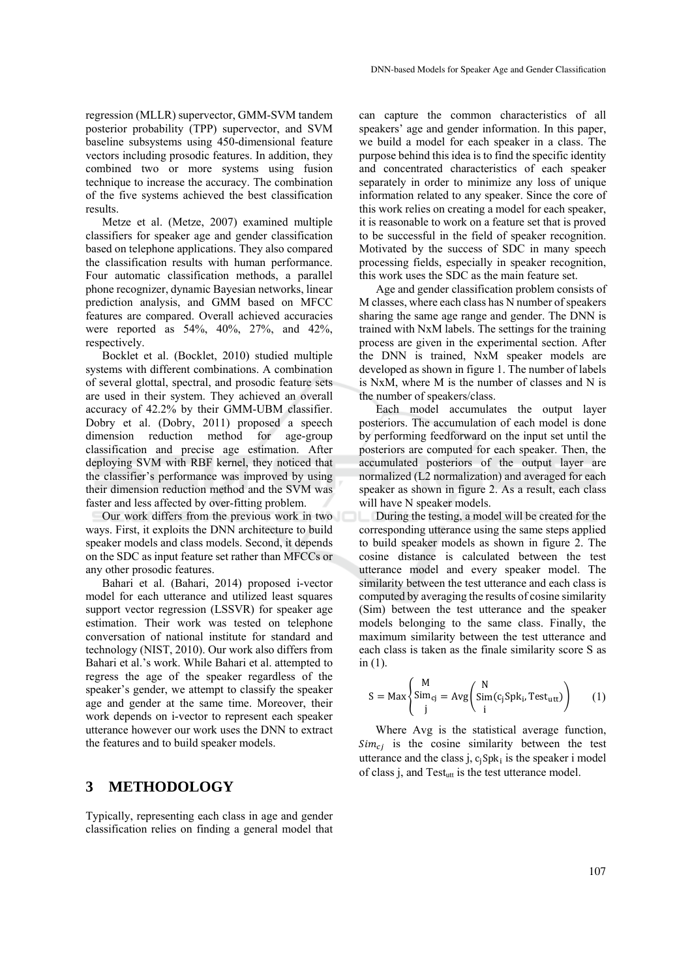regression (MLLR) supervector, GMM-SVM tandem posterior probability (TPP) supervector, and SVM baseline subsystems using 450-dimensional feature vectors including prosodic features. In addition, they combined two or more systems using fusion technique to increase the accuracy. The combination of the five systems achieved the best classification results.

Metze et al. (Metze, 2007) examined multiple classifiers for speaker age and gender classification based on telephone applications. They also compared the classification results with human performance. Four automatic classification methods, a parallel phone recognizer, dynamic Bayesian networks, linear prediction analysis, and GMM based on MFCC features are compared. Overall achieved accuracies were reported as 54%, 40%, 27%, and 42%, respectively.

Bocklet et al. (Bocklet, 2010) studied multiple systems with different combinations. A combination of several glottal, spectral, and prosodic feature sets are used in their system. They achieved an overall accuracy of 42.2% by their GMM-UBM classifier. Dobry et al. (Dobry, 2011) proposed a speech dimension reduction method for age-group classification and precise age estimation. After deploying SVM with RBF kernel, they noticed that the classifier's performance was improved by using their dimension reduction method and the SVM was faster and less affected by over-fitting problem.

Our work differs from the previous work in two ways. First, it exploits the DNN architecture to build speaker models and class models. Second, it depends on the SDC as input feature set rather than MFCCs or any other prosodic features.

Bahari et al. (Bahari, 2014) proposed i-vector model for each utterance and utilized least squares support vector regression (LSSVR) for speaker age estimation. Their work was tested on telephone conversation of national institute for standard and technology (NIST, 2010). Our work also differs from Bahari et al.'s work. While Bahari et al. attempted to regress the age of the speaker regardless of the speaker's gender, we attempt to classify the speaker age and gender at the same time. Moreover, their work depends on i-vector to represent each speaker utterance however our work uses the DNN to extract the features and to build speaker models.

### **3 METHODOLOGY**

Typically, representing each class in age and gender classification relies on finding a general model that

can capture the common characteristics of all speakers' age and gender information. In this paper, we build a model for each speaker in a class. The purpose behind this idea is to find the specific identity and concentrated characteristics of each speaker separately in order to minimize any loss of unique information related to any speaker. Since the core of this work relies on creating a model for each speaker, it is reasonable to work on a feature set that is proved to be successful in the field of speaker recognition. Motivated by the success of SDC in many speech processing fields, especially in speaker recognition, this work uses the SDC as the main feature set.

Age and gender classification problem consists of M classes, where each class has N number of speakers sharing the same age range and gender. The DNN is trained with NxM labels. The settings for the training process are given in the experimental section. After the DNN is trained, NxM speaker models are developed as shown in figure 1. The number of labels is NxM, where M is the number of classes and N is the number of speakers/class.

Each model accumulates the output layer posteriors. The accumulation of each model is done by performing feedforward on the input set until the posteriors are computed for each speaker. Then, the accumulated posteriors of the output layer are normalized (L2 normalization) and averaged for each speaker as shown in figure 2. As a result, each class will have N speaker models.

During the testing, a model will be created for the corresponding utterance using the same steps applied to build speaker models as shown in figure 2. The cosine distance is calculated between the test utterance model and every speaker model. The similarity between the test utterance and each class is computed by averaging the results of cosine similarity (Sim) between the test utterance and the speaker models belonging to the same class. Finally, the maximum similarity between the test utterance and each class is taken as the finale similarity score S as in (1).

$$
S = \text{Max} \left\{ \begin{aligned} &\text{M} & \\ &\text{Sim}_{cj} & = \text{Avg} \left( \begin{aligned} &\text{N} & \\ &\text{Sim}(c_j \text{Spk}_i, \text{Test}_{\text{utt}}) \\ &\text{i} &\end{aligned} \right) \end{aligned} \tag{1}
$$

Where Avg is the statistical average function,  $Sim_{ci}$  is the cosine similarity between the test utterance and the class j,  $c_i$ Spk<sub>i</sub> is the speaker i model of class j, and Test<sub>utt</sub> is the test utterance model.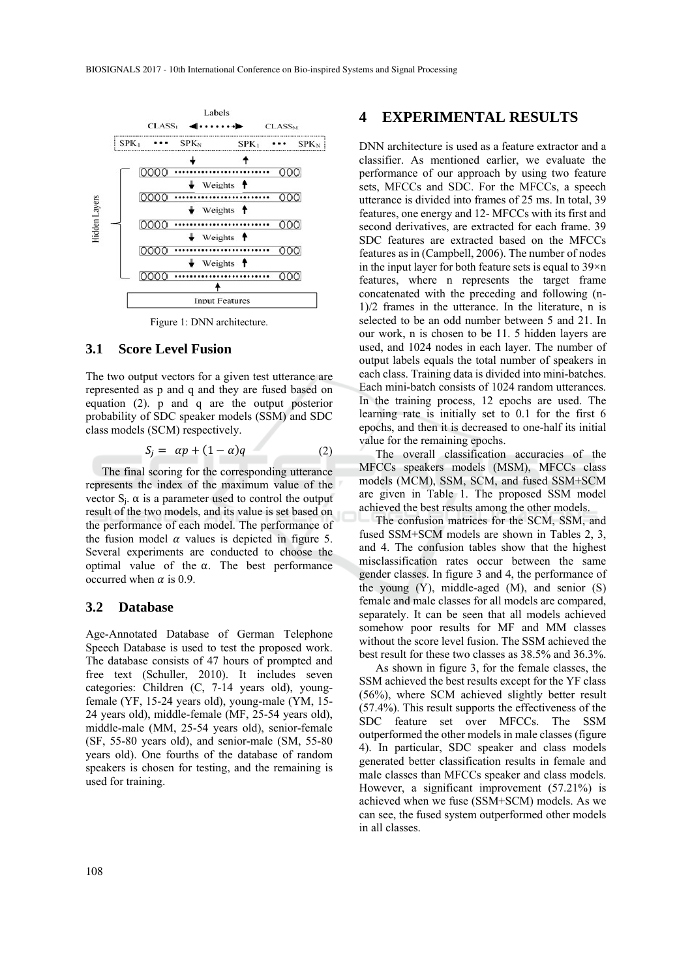

Figure 1: DNN architecture.

### **3.1 Score Level Fusion**

The two output vectors for a given test utterance are represented as p and q and they are fused based on equation (2). p and q are the output posterior probability of SDC speaker models (SSM) and SDC class models (SCM) respectively.

$$
S_j = \alpha p + (1 - \alpha)q \tag{2}
$$

The final scoring for the corresponding utterance represents the index of the maximum value of the vector  $S_i$ . α is a parameter used to control the output result of the two models, and its value is set based on the performance of each model. The performance of the fusion model  $\alpha$  values is depicted in figure 5. Several experiments are conducted to choose the optimal value of the  $\alpha$ . The best performance occurred when  $\alpha$  is 0.9.

#### **3.2 Database**

Age-Annotated Database of German Telephone Speech Database is used to test the proposed work. The database consists of 47 hours of prompted and free text (Schuller, 2010). It includes seven categories: Children (C, 7-14 years old), youngfemale (YF, 15-24 years old), young-male (YM, 15- 24 years old), middle-female (MF, 25-54 years old), middle-male (MM, 25-54 years old), senior-female (SF, 55-80 years old), and senior-male (SM, 55-80 years old). One fourths of the database of random speakers is chosen for testing, and the remaining is used for training.

### **4 EXPERIMENTAL RESULTS**

DNN architecture is used as a feature extractor and a classifier. As mentioned earlier, we evaluate the performance of our approach by using two feature sets, MFCCs and SDC. For the MFCCs, a speech utterance is divided into frames of 25 ms. In total, 39 features, one energy and 12- MFCCs with its first and second derivatives, are extracted for each frame. 39 SDC features are extracted based on the MFCCs features as in (Campbell, 2006). The number of nodes in the input layer for both feature sets is equal to  $39\times n$ features, where n represents the target frame concatenated with the preceding and following (n-1)/2 frames in the utterance. In the literature, n is selected to be an odd number between 5 and 21. In our work, n is chosen to be 11. 5 hidden layers are used, and 1024 nodes in each layer. The number of output labels equals the total number of speakers in each class. Training data is divided into mini-batches. Each mini-batch consists of 1024 random utterances. In the training process, 12 epochs are used. The learning rate is initially set to 0.1 for the first 6 epochs, and then it is decreased to one-half its initial value for the remaining epochs.

The overall classification accuracies of the MFCCs speakers models (MSM), MFCCs class models (MCM), SSM, SCM, and fused SSM+SCM are given in Table 1. The proposed SSM model achieved the best results among the other models.

The confusion matrices for the SCM, SSM, and fused SSM+SCM models are shown in Tables 2, 3, and 4. The confusion tables show that the highest misclassification rates occur between the same gender classes. In figure 3 and 4, the performance of the young (Y), middle-aged (M), and senior (S) female and male classes for all models are compared, separately. It can be seen that all models achieved somehow poor results for MF and MM classes without the score level fusion. The SSM achieved the best result for these two classes as 38.5% and 36.3%.

As shown in figure 3, for the female classes, the SSM achieved the best results except for the YF class (56%), where SCM achieved slightly better result (57.4%). This result supports the effectiveness of the SDC feature set over MFCCs. The SSM outperformed the other models in male classes (figure 4). In particular, SDC speaker and class models generated better classification results in female and male classes than MFCCs speaker and class models. However, a significant improvement (57.21%) is achieved when we fuse (SSM+SCM) models. As we can see, the fused system outperformed other models in all classes.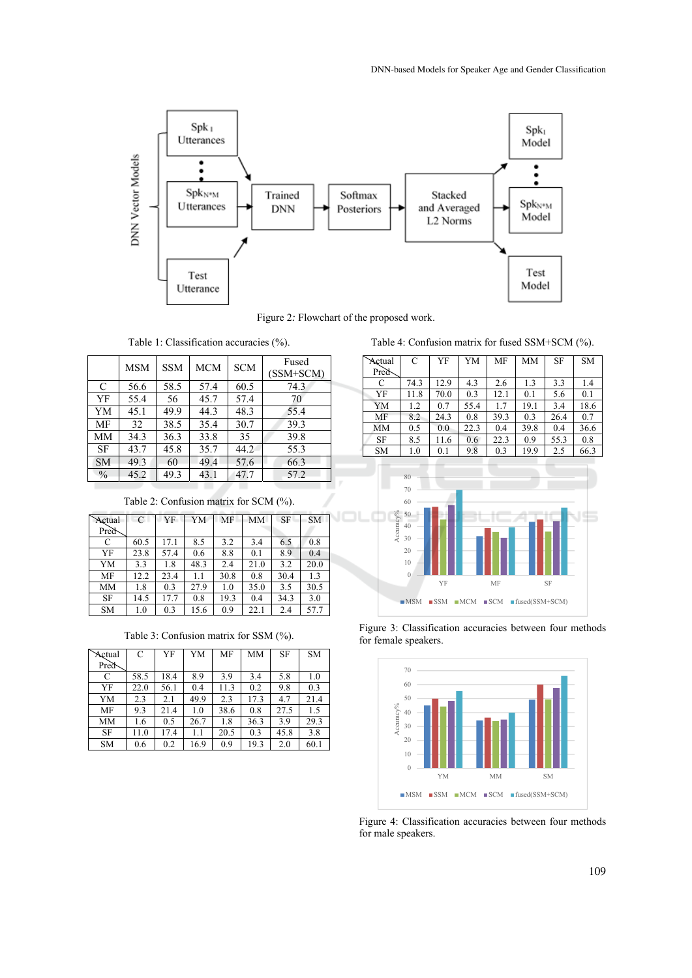

Figure 2*:* Flowchart of the proposed work.

|               | <b>MSM</b> | <b>SSM</b> | <b>MCM</b> | <b>SCM</b> | Fused<br>$(SSM+SCM)$ |
|---------------|------------|------------|------------|------------|----------------------|
| $\mathcal{C}$ | 56.6       | 58.5       | 57.4       | 60.5       | 74.3                 |
| YF            | 55.4       | 56         | 45.7       | 57.4       | 70                   |
| YM            | 45.1       | 49.9       | 44.3       | 48.3       | 55.4                 |
| MF            | 32         | 38.5       | 35.4       | 30.7       | 39.3                 |
| MM            | 34.3       | 36.3       | 33.8       | 35         | 39.8                 |
| SF            | 43.7       | 45.8       | 35.7       | 44.2       | 55.3                 |
| <b>SM</b>     | 49.3       | 60         | 49.4       | 57.6       | 66.3                 |
| $\frac{0}{0}$ | 45.2       | 49.3       | 43.1       | 47.7       | 57.2                 |
|               |            |            |            |            |                      |

Table 2: Confusion matrix for SCM (%).

| Actual    | $\mathcal{C}$ | YF   | YM   | MF   | <b>MM</b> | <b>SF</b> | <b>SM</b> |
|-----------|---------------|------|------|------|-----------|-----------|-----------|
| Pred      |               |      |      |      |           |           |           |
| C         | 60.5          | 17.1 | 8.5  | 3.2  | 3.4       | 6.5       | 0.8       |
| YF        | 23.8          | 57.4 | 0.6  | 8.8  | 0.1       | 8.9       | 0.4       |
| YM        | 3.3           | 1.8  | 48.3 | 2.4  | 21.0      | 3.2       | 20.0      |
| <b>MF</b> | 12.2          | 23.4 | 1.1  | 30.8 | 0.8       | 30.4      | 1.3       |
| MM        | 1.8           | 0.3  | 27.9 | 1.0  | 35.0      | 3.5       | 30.5      |
| <b>SF</b> | 14.5          | 17.7 | 0.8  | 19.3 | 0.4       | 34.3      | 3.0       |
| <b>SM</b> | 1.0           | 0.3  | 15.6 | 0.9  | 22.1      | 2.4       | 57.7      |

Table 3: Confusion matrix for SSM (%).

| Actual    | C    | YF   | YM   | MF   | MM   | <b>SF</b> | <b>SM</b> |
|-----------|------|------|------|------|------|-----------|-----------|
| Pred      |      |      |      |      |      |           |           |
| C         | 58.5 | 18.4 | 8.9  | 3.9  | 3.4  | 5.8       | 1.0       |
| YF        | 22.0 | 56.1 | 0.4  | 11.3 | 0.2  | 9.8       | 0.3       |
| YM        | 2.3  | 2.1  | 49.9 | 2.3  | 17.3 | 4.7       | 21.4      |
| MF        | 9.3  | 21.4 | 1.0  | 38.6 | 0.8  | 27.5      | 1.5       |
| MM        | 1.6  | 0.5  | 26.7 | 1.8  | 36.3 | 3.9       | 29.3      |
| <b>SF</b> | 11.0 | 17.4 | 1.1  | 20.5 | 0.3  | 45.8      | 3.8       |
| <b>SM</b> | 0.6  | 0.2  | 16.9 | 0.9  | 19.3 | 2.0       | 60.1      |

Table 4: Confusion matrix for fused SSM+SCM (%).

| Actual            | C    | YF   | YM   | MF   | MM   | <b>SF</b> | <b>SM</b> |
|-------------------|------|------|------|------|------|-----------|-----------|
| Pred <sub>b</sub> |      |      |      |      |      |           |           |
| C                 | 74.3 | 12.9 | 4.3  | 2.6  | 1.3  | 3.3       | 1.4       |
| YF                | 11.8 | 70.0 | 0.3  | 12.1 | 0.1  | 5.6       | 0.1       |
| YM                | 1.2  | 0.7  | 55.4 | 1.7  | 19.1 | 3.4       | 18.6      |
| MF                | 8.2  | 24.3 | 0.8  | 39.3 | 0.3  | 26.4      | 0.7       |
| <b>MM</b>         | 0.5  | 0.0  | 22.3 | 0.4  | 39.8 | 0.4       | 36.6      |
| <b>SF</b>         | 8.5  | 11.6 | 0.6  | 22.3 | 0.9  | 55.3      | 0.8       |
| <b>SM</b>         | 1.0  | 0.1  | 9.8  | 0.3  | 19.9 | 2.5       | 66.3      |







Figure 4: Classification accuracies between four methods for male speakers.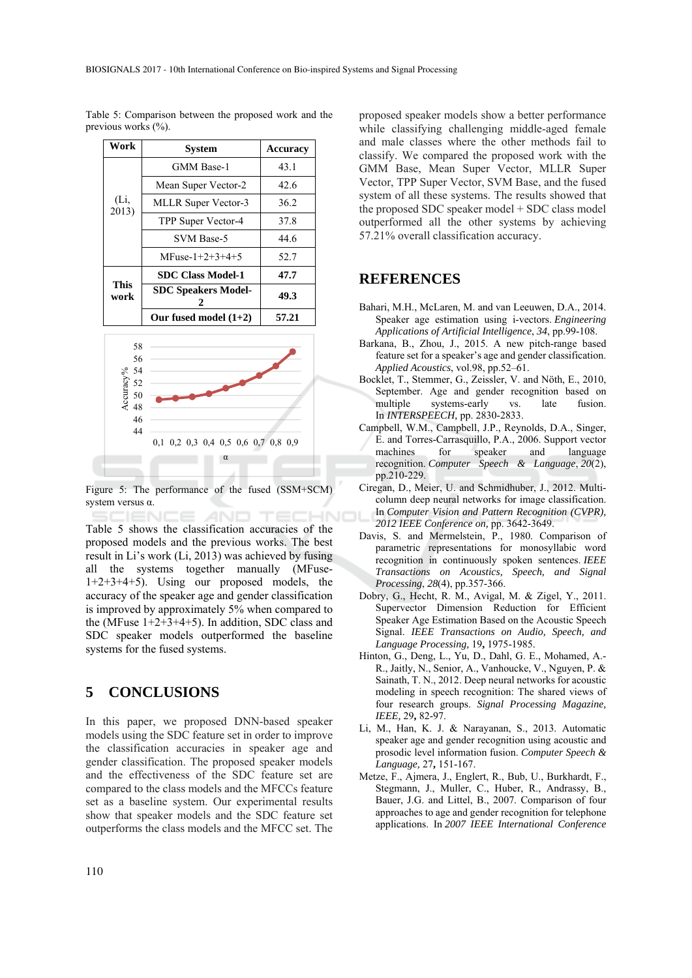Table 5: Comparison between the proposed work and the previous works (%).

| Work          | <b>System</b>              | Accuracy |
|---------------|----------------------------|----------|
|               | <b>GMM</b> Base-1          | 43.1     |
|               | Mean Super Vector-2        | 42.6     |
| (Li,<br>2013) | <b>MLLR Super Vector-3</b> | 36.2     |
|               | TPP Super Vector-4         | 37.8     |
|               | SVM Base-5                 | 44.6     |
|               | $MFuse-1+2+3+4+5$          | 52.7     |
|               | <b>SDC Class Model-1</b>   | 47.7     |
| This<br>work  | <b>SDC Speakers Model-</b> | 49.3     |
|               | Our fused model $(1+2)$    | 57.21    |



Figure 5: The performance of the fused (SSM+SCM) system versus α.

AND Table 5 shows the classification accuracies of the proposed models and the previous works. The best result in Li's work (Li, 2013) was achieved by fusing all the systems together manually (MFuse-1+2+3+4+5). Using our proposed models, the accuracy of the speaker age and gender classification is improved by approximately 5% when compared to the (MFuse  $1+2+3+4+5$ ). In addition, SDC class and SDC speaker models outperformed the baseline systems for the fused systems.

## **5 CONCLUSIONS**

In this paper, we proposed DNN-based speaker models using the SDC feature set in order to improve the classification accuracies in speaker age and gender classification. The proposed speaker models and the effectiveness of the SDC feature set are compared to the class models and the MFCCs feature set as a baseline system. Our experimental results show that speaker models and the SDC feature set outperforms the class models and the MFCC set. The

proposed speaker models show a better performance while classifying challenging middle-aged female and male classes where the other methods fail to classify. We compared the proposed work with the GMM Base, Mean Super Vector, MLLR Super Vector, TPP Super Vector, SVM Base, and the fused system of all these systems. The results showed that the proposed SDC speaker model + SDC class model outperformed all the other systems by achieving 57.21% overall classification accuracy.

### **REFERENCES**

- Bahari, M.H., McLaren, M. and van Leeuwen, D.A., 2014. Speaker age estimation using i-vectors. *Engineering Applications of Artificial Intelligence*, *34*, pp.99-108.
- Barkana, B., Zhou, J., 2015. A new pitch-range based feature set for a speaker's age and gender classification. *Applied Acoustics*, vol.98, pp.52–61.
- Bocklet, T., Stemmer, G., Zeissler, V. and Nöth, E., 2010, September. Age and gender recognition based on multiple systems-early vs. late fusion. In *INTERSPEECH,* pp. 2830-2833.
- Campbell, W.M., Campbell, J.P., Reynolds, D.A., Singer, E. and Torres-Carrasquillo, P.A., 2006. Support vector machines for speaker and language recognition. *Computer Speech & Language*, *20*(2), pp.210-229.
- Ciregan, D., Meier, U. and Schmidhuber, J., 2012. Multicolumn deep neural networks for image classification. In *Computer Vision and Pattern Recognition (CVPR), 2012 IEEE Conference on,* pp. 3642-3649.
- Davis, S. and Mermelstein, P., 1980. Comparison of parametric representations for monosyllabic word recognition in continuously spoken sentences. *IEEE Transactions on Acoustics, Speech, and Signal Processing*, *28*(4), pp.357-366.
- Dobry, G., Hecht, R. M., Avigal, M. & Zigel, Y., 2011. Supervector Dimension Reduction for Efficient Speaker Age Estimation Based on the Acoustic Speech Signal. *IEEE Transactions on Audio, Speech, and Language Processing,* 19**,** 1975-1985.
- Hinton, G., Deng, L., Yu, D., Dahl, G. E., Mohamed, A.- R., Jaitly, N., Senior, A., Vanhoucke, V., Nguyen, P. & Sainath, T. N., 2012. Deep neural networks for acoustic modeling in speech recognition: The shared views of four research groups. *Signal Processing Magazine, IEEE,* 29**,** 82-97.
- Li, M., Han, K. J. & Narayanan, S., 2013. Automatic speaker age and gender recognition using acoustic and prosodic level information fusion. *Computer Speech & Language,* 27**,** 151-167.
- Metze, F., Ajmera, J., Englert, R., Bub, U., Burkhardt, F., Stegmann, J., Muller, C., Huber, R., Andrassy, B., Bauer, J.G. and Littel, B., 2007. Comparison of four approaches to age and gender recognition for telephone applications. In *2007 IEEE International Conference*